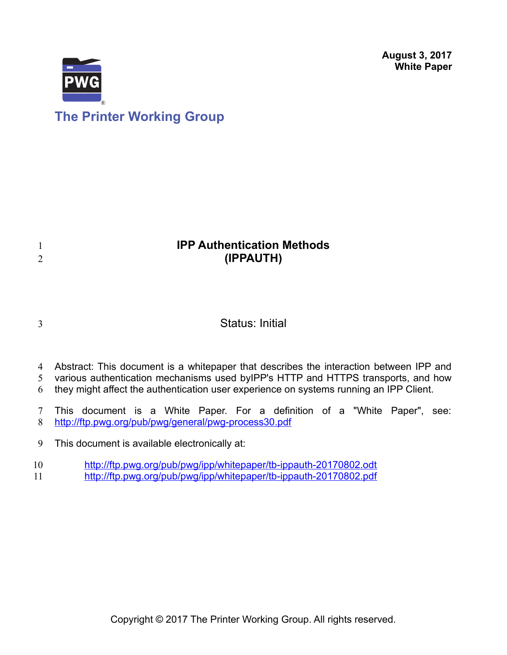**August 3, 2017 White Paper**



## **IPP Authentication Methods (IPPAUTH)**

3

1 2

### Status: Initial

- Abstract: This document is a whitepaper that describes the interaction between IPP and 4
- various authentication mechanisms used byIPP's HTTP and HTTPS transports, and how 5
- they might affect the authentication user experience on systems running an IPP Client. 6
- This document is a White Paper. For a definition of a "White Paper", see: <http://ftp.pwg.org/pub/pwg/general/pwg-process30.pdf> 7 8
- This document is available electronically at: 9
- <http://ftp.pwg.org/pub/pwg/ipp/whitepaper/tb-ippauth-20170802.odt> 10
- <http://ftp.pwg.org/pub/pwg/ipp/whitepaper/tb-ippauth-20170802.pdf> 11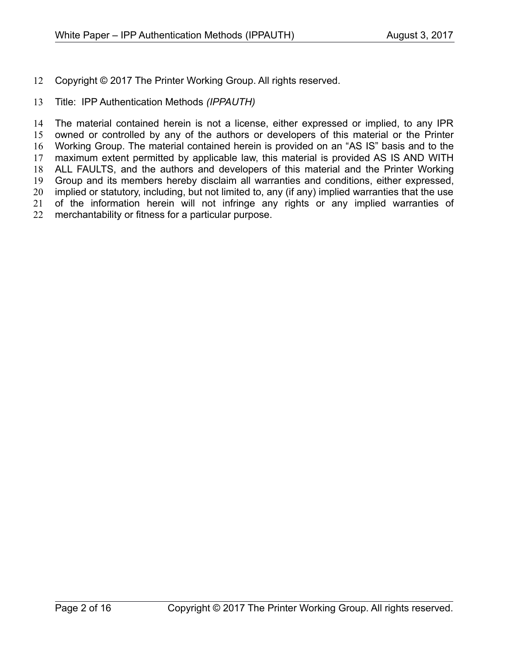Copyright © 2017 The Printer Working Group. All rights reserved. 12

#### Title: IPP Authentication Methods *(IPPAUTH)* 13

The material contained herein is not a license, either expressed or implied, to any IPR owned or controlled by any of the authors or developers of this material or the Printer Working Group. The material contained herein is provided on an "AS IS" basis and to the maximum extent permitted by applicable law, this material is provided AS IS AND WITH ALL FAULTS, and the authors and developers of this material and the Printer Working Group and its members hereby disclaim all warranties and conditions, either expressed, implied or statutory, including, but not limited to, any (if any) implied warranties that the use of the information herein will not infringe any rights or any implied warranties of merchantability or fitness for a particular purpose. 14 15 16 17 18 19 20 21 22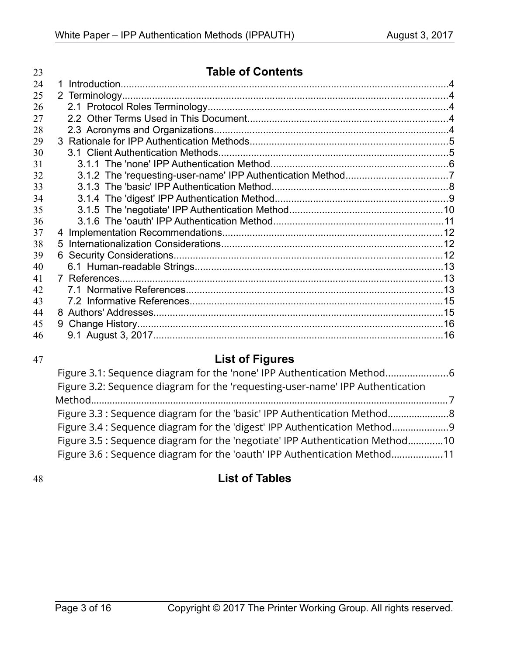| 23 | <b>Table of Contents</b> |  |
|----|--------------------------|--|
| 24 |                          |  |
| 25 |                          |  |
| 26 |                          |  |
| 27 |                          |  |
| 28 |                          |  |
| 29 |                          |  |
| 30 |                          |  |
| 31 |                          |  |
| 32 |                          |  |
| 33 |                          |  |
| 34 |                          |  |
| 35 |                          |  |
| 36 |                          |  |
| 37 |                          |  |
| 38 |                          |  |
| 39 |                          |  |
| 40 |                          |  |
| 41 |                          |  |
| 42 |                          |  |
| 43 |                          |  |
| 44 |                          |  |
| 45 |                          |  |
| 46 |                          |  |

### 47

# **List of Figures**

| Figure 3.1: Sequence diagram for the 'none' IPP Authentication Method          |  |
|--------------------------------------------------------------------------------|--|
| Figure 3.2: Sequence diagram for the 'requesting-user-name' IPP Authentication |  |
|                                                                                |  |
|                                                                                |  |
| Figure 3.4 : Sequence diagram for the 'digest' IPP Authentication Method9      |  |
| Figure 3.5 : Sequence diagram for the 'negotiate' IPP Authentication Method10  |  |
| Figure 3.6 : Sequence diagram for the 'oauth' IPP Authentication Method11      |  |

48

## **List of Tables**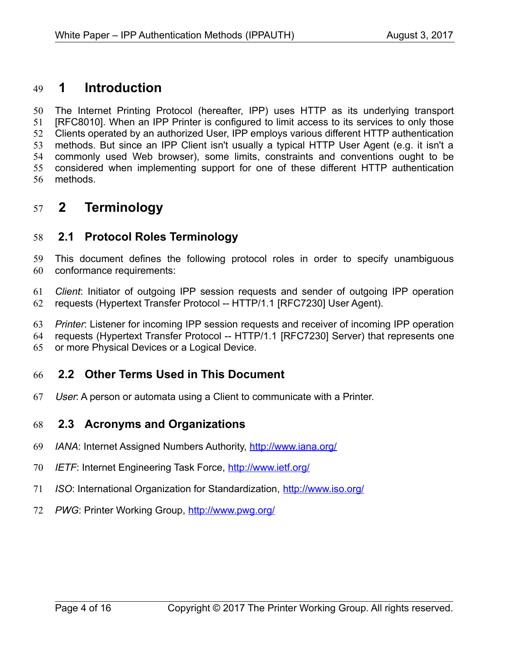#### **1 Introduction** 49

The Internet Printing Protocol (hereafter, IPP) uses HTTP as its underlying transport [\[RFC8010\].](#page-13-0) When an IPP Printer is configured to limit access to its services to only those Clients operated by an authorized User, IPP employs various different HTTP authentication methods. But since an IPP Client isn't usually a typical HTTP User Agent (e.g. it isn't a commonly used Web browser), some limits, constraints and conventions ought to be considered when implementing support for one of these different HTTP authentication methods. 50 51 52 53 54 55 56

#### **2 Terminology** 57

#### **2.1 Protocol Roles Terminology** 58

This document defines the following protocol roles in order to specify unambiguous conformance requirements: 59 60

*Client*: Initiator of outgoing IPP session requests and sender of outgoing IPP operation requests (Hypertext Transfer Protocol -- HTTP/1.1 [\[RFC7230\]](#page-13-1) User Agent). 61 62

*Printer*: Listener for incoming IPP session requests and receiver of incoming IPP operation 63

requests (Hypertext Transfer Protocol -- HTTP/1.1 [\[RFC7230\]](#page-13-1) Server) that represents one 64

or more Physical Devices or a Logical Device. 65

#### **2.2 Other Terms Used in This Document** 66

User: A person or automata using a Client to communicate with a Printer. 67

#### **2.3 Acronyms and Organizations** 68

- *IANA*: Internet Assigned Numbers Authority,<http://www.iana.org/> 69
- *IETF*: Internet Engineering Task Force,<http://www.ietf.org/> 70
- *ISO*: International Organization for Standardization,<http://www.iso.org/> 71
- *PWG*: Printer Working Group,<http://www.pwg.org/> 72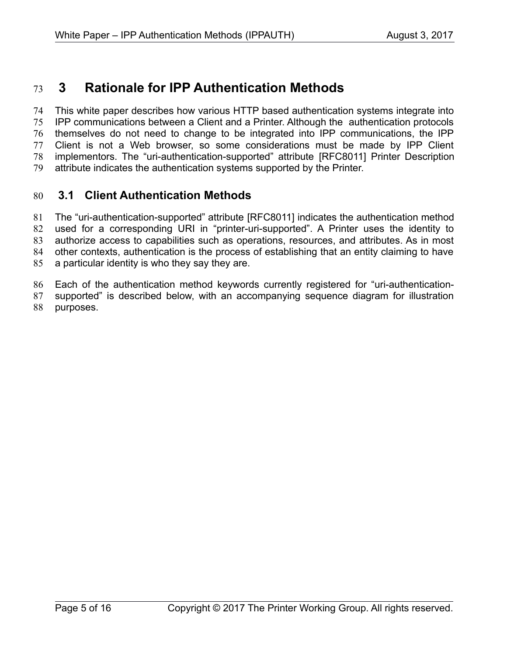#### **3 Rationale for IPP Authentication Methods** 73

This white paper describes how various HTTP based authentication systems integrate into IPP communications between a Client and a Printer. Although the authentication protocols themselves do not need to change to be integrated into IPP communications, the IPP Client is not a Web browser, so some considerations must be made by IPP Client implementors. The "uri-authentication-supported" attribute [\[RFC8011\]](#page-13-2) Printer Description attribute indicates the authentication systems supported by the Printer. 74 75 76 77 78 79

#### **3.1 Client Authentication Methods** 80

The "uri-authentication-supported" attribute [\[RFC8011\]](#page-13-2) indicates the authentication method used for a corresponding URI in "printer-uri-supported". A Printer uses the identity to authorize access to capabilities such as operations, resources, and attributes. As in most other contexts, authentication is the process of establishing that an entity claiming to have a particular identity is who they say they are. 81 82 83 84 85

Each of the authentication method keywords currently registered for "uri-authentication-86

supported" is described below, with an accompanying sequence diagram for illustration purposes. 87 88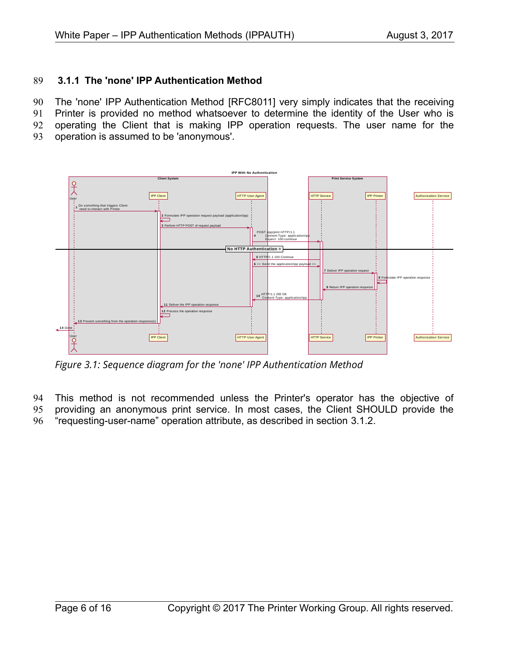#### **3.1.1 The 'none' IPP Authentication Method** 89

The 'none' IPP Authentication Method [\[RFC8011\]](#page-13-2) very simply indicates that the receiving 90

Printer is provided no method whatsoever to determine the identity of the User who is 91

operating the Client that is making IPP operation requests. The user name for the 92

operation is assumed to be 'anonymous'. 93



*Figure 3.1: Sequence diagram for the 'none' IPP Authentication Method*

This method is not recommended unless the Printer's operator has the objective of 94

providing an anonymous print service. In most cases, the Client SHOULD provide the 95

"requesting-user-name" operation attribute, as described in section [3.1.2.](#page-6-0) 96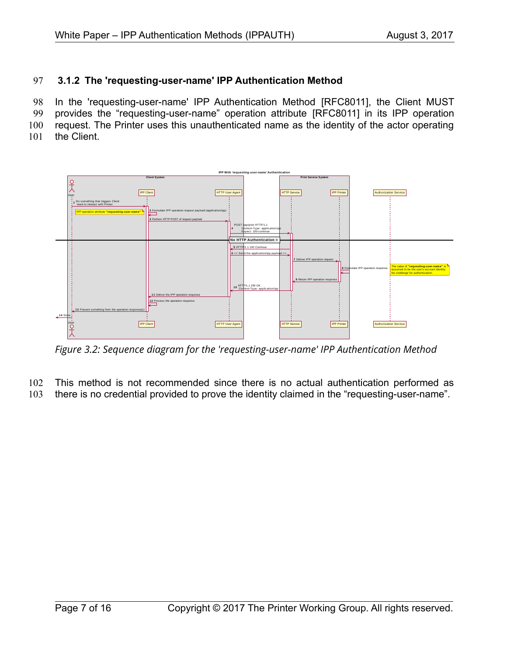#### <span id="page-6-0"></span> **3.1.2 The 'requesting-user-name' IPP Authentication Method** 97

In the 'requesting-user-name' IPP Authentication Method [\[RFC8011\],](#page-13-2) the Client MUST provides the "requesting-user-name" operation attribute [\[RFC8011\]](#page-13-2) in its IPP operation request. The Printer uses this unauthenticated name as the identity of the actor operating 98 99 100

the Client. 101



*Figure 3.2: Sequence diagram for the 'requesting-user-name' IPP Authentication Method*

- This method is not recommended since there is no actual authentication performed as 102
- there is no credential provided to prove the identity claimed in the "requesting-user-name". 103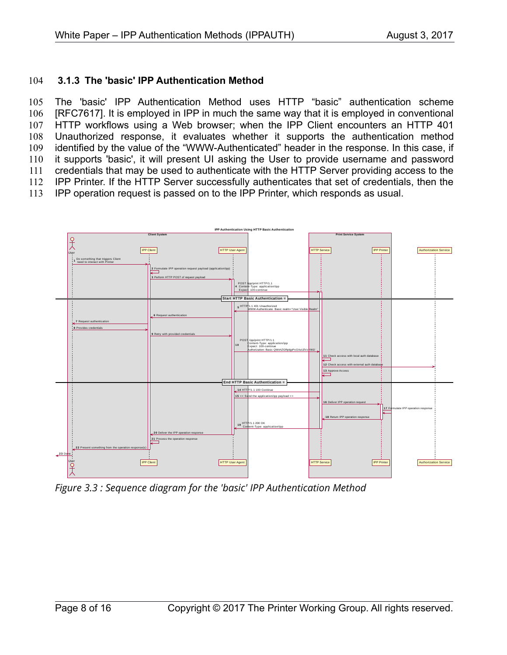#### **3.1.3 The 'basic' IPP Authentication Method** 104

The 'basic' IPP Authentication Method uses HTTP "basic" authentication scheme [\[RFC7617\].](#page-13-3) It is employed in IPP in much the same way that it is employed in conventional HTTP workflows using a Web browser; when the IPP Client encounters an HTTP 401 Unauthorized response, it evaluates whether it supports the authentication method identified by the value of the "WWW-Authenticated" header in the response. In this case, if it supports 'basic', it will present UI asking the User to provide username and password credentials that may be used to authenticate with the HTTP Server providing access to the IPP Printer. If the HTTP Server successfully authenticates that set of credentials, then the IPP operation request is passed on to the IPP Printer, which responds as usual. 105 106 107 108 109 110 111 112 113



*Figure 3.3 : Sequence diagram for the 'basic' IPP Authentication Method*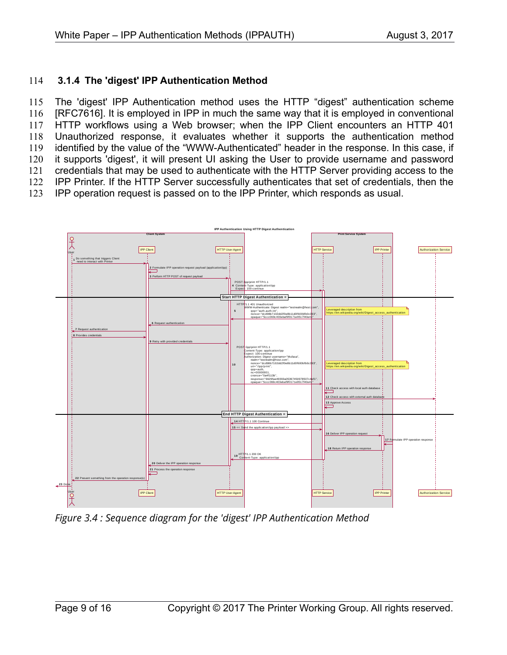#### **3.1.4 The 'digest' IPP Authentication Method** 114

The 'digest' IPP Authentication method uses the HTTP "digest" authentication scheme [\[RFC7616\].](#page-13-4) It is employed in IPP in much the same way that it is employed in conventional HTTP workflows using a Web browser; when the IPP Client encounters an HTTP 401 Unauthorized response, it evaluates whether it supports the authentication method identified by the value of the "WWW-Authenticated" header in the response. In this case, if it supports 'digest', it will present UI asking the User to provide username and password credentials that may be used to authenticate with the HTTP Server providing access to the IPP Printer. If the HTTP Server successfully authenticates that set of credentials, then the IPP operation request is passed on to the IPP Printer, which responds as usual. 115 116 117 118 119 120 121 122 123



*Figure 3.4 : Sequence diagram for the 'digest' IPP Authentication Method*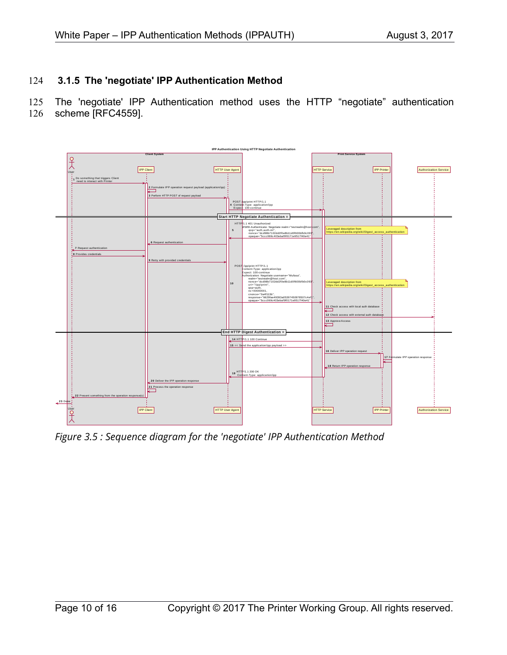#### **3.1.5 The 'negotiate' IPP Authentication Method** 124

The 'negotiate' IPP Authentication method uses the HTTP "negotiate" authentication scheme [RFC4559]. 125 126



*Figure 3.5 : Sequence diagram for the 'negotiate' IPP Authentication Method*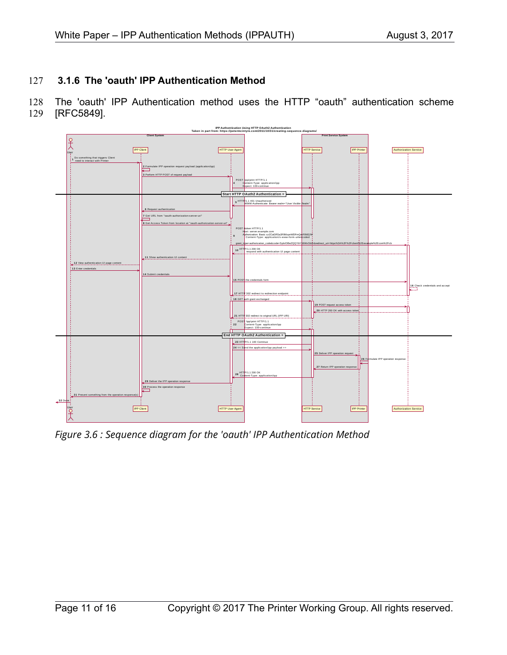#### **3.1.6 The 'oauth' IPP Authentication Method** 127

The 'oauth' IPP Authentication method uses the HTTP "oauth" authentication scheme [RFC5849]. 128 129



*Figure 3.6 : Sequence diagram for the 'oauth' IPP Authentication Method*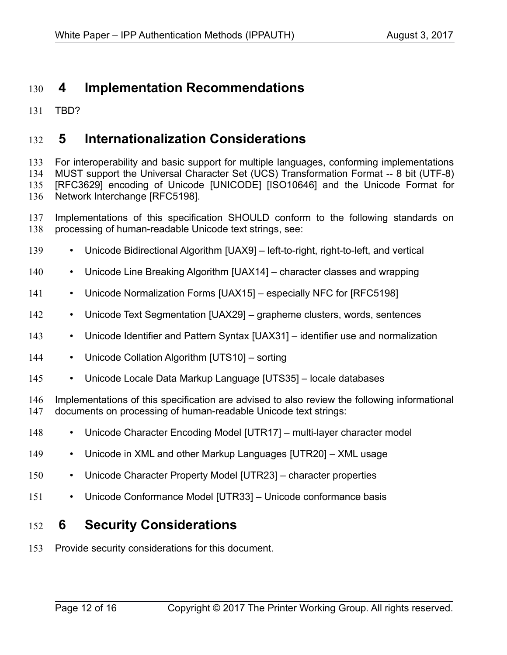#### **4 Implementation Recommendations** 130

TBD? 131

#### **5 Internationalization Considerations** 132

For interoperability and basic support for multiple languages, conforming implementations MUST support the Universal Character Set (UCS) Transformation Format -- 8 bit (UTF-8) [\[RFC3629\]](#page-13-13) encoding of Unicode [\[UNICODE\]](#page-13-12) [\[ISO10646\]](#page-12-0) and the Unicode Format for Network Interchange [\[RFC5198\].](#page-13-8) 133 134 135 136

Implementations of this specification SHOULD conform to the following standards on processing of human-readable Unicode text strings, see: 137 138

- Unicode Bidirectional Algorithm [\[UAX9\]](#page-13-11)  left-to-right, right-to-left, and vertical 139
- Unicode Line Breaking Algorithm [\[UAX14\]](#page-13-10)  character classes and wrapping 140
- Unicode Normalization Forms [\[UAX15\]](#page-13-9)  especially NFC for [\[RFC5198\]](#page-13-8) 141
- Unicode Text Segmentation [\[UAX29\]](#page-13-7)  grapheme clusters, words, sentences 142
- Unicode Identifier and Pattern Syntax [\[UAX31\]](#page-13-6)  identifier use and normalization 143
- Unicode Collation Algorithm [\[UTS10\]](#page-13-5)  sorting 144
- Unicode Locale Data Markup Language [\[UTS35\]](#page-14-4)  locale databases 145

Implementations of this specification are advised to also review the following informational documents on processing of human-readable Unicode text strings: 146 147

- Unicode Character Encoding Model [\[UTR17\]](#page-14-3)  multi-layer character model 148
- Unicode in XML and other Markup Languages [\[UTR20\]](#page-14-2)  XML usage 149
- Unicode Character Property Model [\[UTR23\]](#page-14-1)  character properties 150
- Unicode Conformance Model [\[UTR33\]](#page-14-0)  Unicode conformance basis 151

#### **6 Security Considerations** 152

Provide security considerations for this document. 153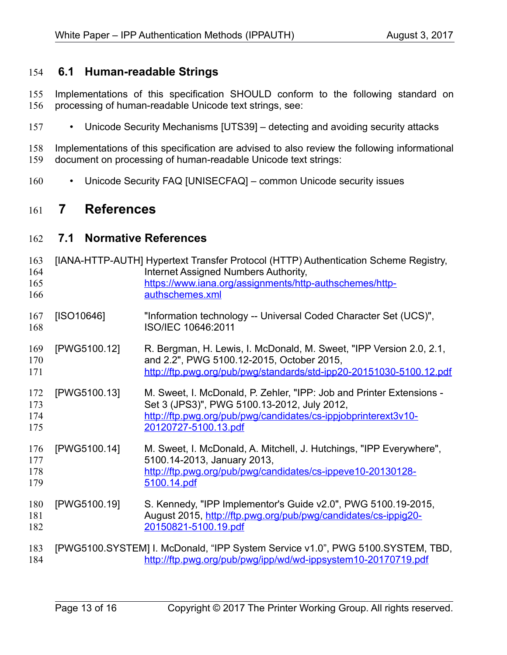#### **6.1 Human-readable Strings**  154

Implementations of this specification SHOULD conform to the following standard on processing of human-readable Unicode text strings, see: 155 156

• Unicode Security Mechanisms [\[UTS39\]](#page-14-6) – detecting and avoiding security attacks 157

Implementations of this specification are advised to also review the following informational document on processing of human-readable Unicode text strings: 158 159

• Unicode Security FAQ [\[UNISECFAQ\]](#page-14-5) – common Unicode security issues 160

#### **7 References** 161

#### **7.1 Normative References** 162

<span id="page-12-0"></span>

| 163<br>164<br>165<br>166 |              | [IANA-HTTP-AUTH] Hypertext Transfer Protocol (HTTP) Authentication Scheme Registry,<br>Internet Assigned Numbers Authority,<br>https://www.iana.org/assignments/http-authschemes/http-<br>authschemes.xml     |
|--------------------------|--------------|---------------------------------------------------------------------------------------------------------------------------------------------------------------------------------------------------------------|
| 167<br>168               | [ SO10646]   | "Information technology -- Universal Coded Character Set (UCS)",<br>ISO/IEC 10646:2011                                                                                                                        |
| 169<br>170<br>171        | [PWG5100.12] | R. Bergman, H. Lewis, I. McDonald, M. Sweet, "IPP Version 2.0, 2.1,<br>and 2.2", PWG 5100.12-2015, October 2015,<br>http://ftp.pwg.org/pub/pwg/standards/std-ipp20-20151030-5100.12.pdf                       |
| 172<br>173<br>174<br>175 | [PWG5100.13] | M. Sweet, I. McDonald, P. Zehler, "IPP: Job and Printer Extensions -<br>Set 3 (JPS3)", PWG 5100.13-2012, July 2012,<br>http://ftp.pwg.org/pub/pwg/candidates/cs-ippjobprinterext3v10-<br>20120727-5100.13.pdf |
| 176<br>177<br>178<br>179 | [PWG5100.14] | M. Sweet, I. McDonald, A. Mitchell, J. Hutchings, "IPP Everywhere",<br>5100.14-2013, January 2013,<br>http://ftp.pwg.org/pub/pwg/candidates/cs-ippeve10-20130128-<br>5100.14.pdf                              |
| 180<br>181<br>182        | [PWG5100.19] | S. Kennedy, "IPP Implementor's Guide v2.0", PWG 5100.19-2015,<br>August 2015, http://ftp.pwg.org/pub/pwg/candidates/cs-ippig20-<br>20150821-5100.19.pdf                                                       |
| 183<br>184               |              | [PWG5100.SYSTEM] I. McDonald, "IPP System Service v1.0", PWG 5100.SYSTEM, TBD,<br>http://ftp.pwg.org/pub/pwg/ipp/wd/wd-ippsystem10-20170719.pdf                                                               |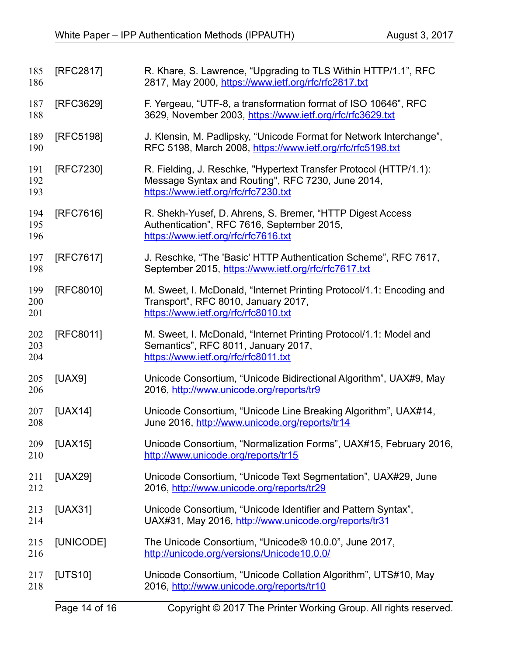<span id="page-13-13"></span><span id="page-13-12"></span><span id="page-13-11"></span><span id="page-13-10"></span><span id="page-13-9"></span><span id="page-13-8"></span><span id="page-13-7"></span><span id="page-13-6"></span><span id="page-13-5"></span><span id="page-13-4"></span><span id="page-13-3"></span><span id="page-13-2"></span><span id="page-13-1"></span><span id="page-13-0"></span>

| 185<br>186        | [RFC2817] | R. Khare, S. Lawrence, "Upgrading to TLS Within HTTP/1.1", RFC<br>2817, May 2000, https://www.ietf.org/rfc/rfc2817.txt                                         |
|-------------------|-----------|----------------------------------------------------------------------------------------------------------------------------------------------------------------|
| 187<br>188        | [RFC3629] | F. Yergeau, "UTF-8, a transformation format of ISO 10646", RFC<br>3629, November 2003, https://www.ietf.org/rfc/rfc3629.txt                                    |
| 189<br>190        | [RFC5198] | J. Klensin, M. Padlipsky, "Unicode Format for Network Interchange",<br>RFC 5198, March 2008, https://www.ietf.org/rfc/rfc5198.txt                              |
| 191<br>192<br>193 | [RFC7230] | R. Fielding, J. Reschke, "Hypertext Transfer Protocol (HTTP/1.1):<br>Message Syntax and Routing", RFC 7230, June 2014,<br>https://www.ietf.org/rfc/rfc7230.txt |
| 194<br>195<br>196 | [RFC7616] | R. Shekh-Yusef, D. Ahrens, S. Bremer, "HTTP Digest Access"<br>Authentication", RFC 7616, September 2015,<br>https://www.ietf.org/rfc/rfc7616.txt               |
| 197<br>198        | [RFC7617] | J. Reschke, "The 'Basic' HTTP Authentication Scheme", RFC 7617,<br>September 2015, https://www.ietf.org/rfc/rfc7617.txt                                        |
| 199<br>200<br>201 | [RFC8010] | M. Sweet, I. McDonald, "Internet Printing Protocol/1.1: Encoding and<br>Transport", RFC 8010, January 2017,<br>https://www.ietf.org/rfc/rfc8010.txt            |
| 202<br>203<br>204 | [RFC8011] | M. Sweet, I. McDonald, "Internet Printing Protocol/1.1: Model and<br>Semantics", RFC 8011, January 2017,<br>https://www.ietf.org/rfc/rfc8011.txt               |
| 205<br>206        | [UAX9]    | Unicode Consortium, "Unicode Bidirectional Algorithm", UAX#9, May<br>2016, http://www.unicode.org/reports/tr9                                                  |
| 207<br>208        | [UAX14]   | Unicode Consortium, "Unicode Line Breaking Algorithm", UAX#14,<br>June 2016, http://www.unicode.org/reports/tr14                                               |
| 209<br>210        | [UAX15]   | Unicode Consortium, "Normalization Forms", UAX#15, February 2016,<br>http://www.unicode.org/reports/tr15                                                       |
| 211<br>212        | [UAX29]   | Unicode Consortium, "Unicode Text Segmentation", UAX#29, June<br>2016, http://www.unicode.org/reports/tr29                                                     |
| 213<br>214        | [UAX31]   | Unicode Consortium, "Unicode Identifier and Pattern Syntax",<br>UAX#31, May 2016, http://www.unicode.org/reports/tr31                                          |
| 215<br>216        | [UNICODE] | The Unicode Consortium, "Unicode® 10.0.0", June 2017,<br>http://unicode.org/versions/Unicode10.0.0/                                                            |
| 217<br>218        | [UTS10]   | Unicode Consortium, "Unicode Collation Algorithm", UTS#10, May<br>2016, http://www.unicode.org/reports/tr10                                                    |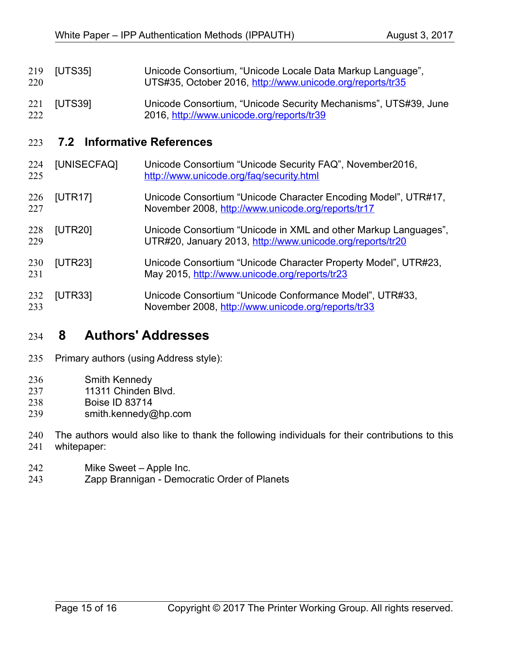- <span id="page-14-4"></span>[UTS35] Unicode Consortium, "Unicode Locale Data Markup Language", UTS#35, October 2016,<http://www.unicode.org/reports/tr35> 219 220
- <span id="page-14-6"></span>[UTS39] Unicode Consortium, "Unicode Security Mechanisms", UTS#39, June 2016,<http://www.unicode.org/reports/tr39> 221 222

#### **7.2 Informative References** 223

<span id="page-14-5"></span><span id="page-14-3"></span><span id="page-14-2"></span>

| 224<br>225 | [UNISECFAQ]    | Unicode Consortium "Unicode Security FAQ", November2016,<br>http://www.unicode.org/faq/security.html                         |
|------------|----------------|------------------------------------------------------------------------------------------------------------------------------|
| 226<br>227 | [UTR17]        | Unicode Consortium "Unicode Character Encoding Model", UTR#17,<br>November 2008, http://www.unicode.org/reports/tr17         |
| 228<br>229 | [UTR20]        | Unicode Consortium "Unicode in XML and other Markup Languages",<br>UTR#20, January 2013, http://www.unicode.org/reports/tr20 |
| 230<br>231 | [UTR23]        | Unicode Consortium "Unicode Character Property Model", UTR#23,<br>May 2015, http://www.unicode.org/reports/tr23              |
| 232<br>233 | <b>[UTR33]</b> | Unicode Consortium "Unicode Conformance Model", UTR#33,<br>November 2008, http://www.unicode.org/reports/tr33                |

#### <span id="page-14-1"></span><span id="page-14-0"></span> **8 Authors' Addresses** 234

- Primary authors (using Address style): 235
- Smith Kennedy 236
- 11311 Chinden Blvd. 237
- Boise ID 83714 238
- smith.kennedy@hp.com 239
- The authors would also like to thank the following individuals for their contributions to this 240
- whitepaper: 241
- Mike Sweet Apple Inc. 242
- Zapp Brannigan Democratic Order of Planets 243